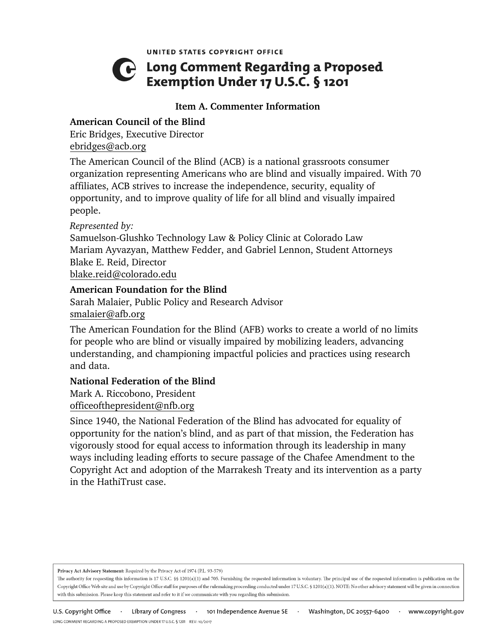UNITED STATES COPYRIGHT OFFICE

# C Long Comment Regarding a Proposed Exemption Under 17 U.S.C. § 1201

## **Item A. Commenter Information**

# **American Council of the Blind**

Eric Bridges, Executive Director ebridges@acb.org

The American Council of the Blind (ACB) is a national grassroots consumer organization representing Americans who are blind and visually impaired. With 70 affiliates, ACB strives to increase the independence, security, equality of opportunity, and to improve quality of life for all blind and visually impaired people.

*Represented by:*

Samuelson-Glushko Technology Law & Policy Clinic at Colorado Law Mariam Ayvazyan, Matthew Fedder, and Gabriel Lennon, Student Attorneys Blake E. Reid, Director

blake.reid@colorado.edu

## **American Foundation for the Blind**

Sarah Malaier, Public Policy and Research Advisor smalaier@afb.org

The American Foundation for the Blind (AFB) works to create a world of no limits for people who are blind or visually impaired by mobilizing leaders, advancing understanding, and championing impactful policies and practices using research and data.

## **National Federation of the Blind**

Mark A. Riccobono, President officeofthepresident@nfb.org

Since 1940, the National Federation of the Blind has advocated for equality of opportunity for the nation's blind, and as part of that mission, the Federation has vigorously stood for equal access to information through its leadership in many ways including leading efforts to secure passage of the Chafee Amendment to the Copyright Act and adoption of the Marrakesh Treaty and its intervention as a party in the HathiTrust case.

Privacy Act Advisory Statement: Required by the Privacy Act of 1974 (P.L. 93-579)

The authority for requesting this information is 17 U.S.C. §§ 1201(a)(1) and 705. Furnishing the requested information is voluntary. The principal use of the requested information is publication on the Copyright Office Web site and use by Copyright Office staff for purposes of the rulemaking proceeding conducted under 17 U.S.C. § 1201(a)(1). NOTE: No other advisory statement will be given in connection with this submission. Please keep this statement and refer to it if we communicate with you regarding this submission.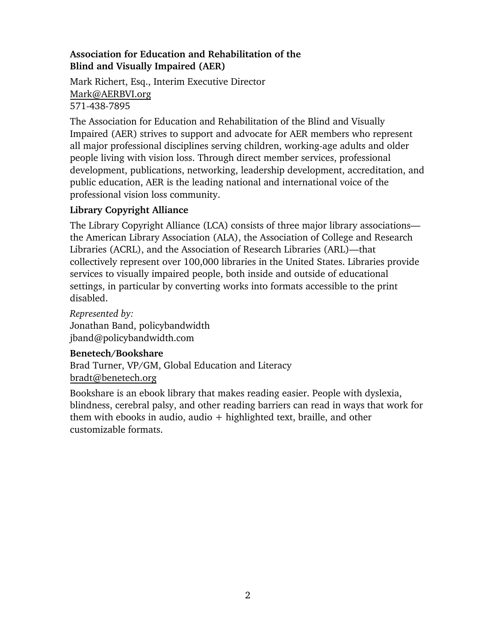# **Association for Education and Rehabilitation of the Blind and Visually Impaired (AER)**

Mark Richert, Esq., Interim Executive Director Mark@AERBVI.org 571-438-7895

The Association for Education and Rehabilitation of the Blind and Visually Impaired (AER) strives to support and advocate for AER members who represent all major professional disciplines serving children, working-age adults and older people living with vision loss. Through direct member services, professional development, publications, networking, leadership development, accreditation, and public education, AER is the leading national and international voice of the professional vision loss community.

# **Library Copyright Alliance**

The Library Copyright Alliance (LCA) consists of three major library associations the American Library Association (ALA), the Association of College and Research Libraries (ACRL), and the Association of Research Libraries (ARL)—that collectively represent over 100,000 libraries in the United States. Libraries provide services to visually impaired people, both inside and outside of educational settings, in particular by converting works into formats accessible to the print disabled.

*Represented by:* Jonathan Band, policybandwidth jband@policybandwidth.com

# **Benetech/Bookshare**

Brad Turner, VP/GM, Global Education and Literacy bradt@benetech.org

Bookshare is an ebook library that makes reading easier. People with dyslexia, blindness, cerebral palsy, and other reading barriers can read in ways that work for them with ebooks in audio, audio  $+$  highlighted text, braille, and other customizable formats.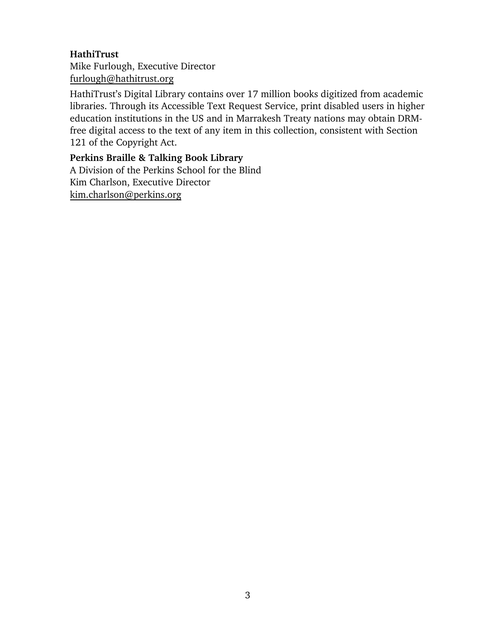## **HathiTrust**

Mike Furlough, Executive Director furlough@hathitrust.org

HathiTrust's Digital Library contains over 17 million books digitized from academic libraries. Through its Accessible Text Request Service, print disabled users in higher education institutions in the US and in Marrakesh Treaty nations may obtain DRMfree digital access to the text of any item in this collection, consistent with Section 121 of the Copyright Act.

# **Perkins Braille & Talking Book Library**

A Division of the Perkins School for the Blind Kim Charlson, Executive Director kim.charlson@perkins.org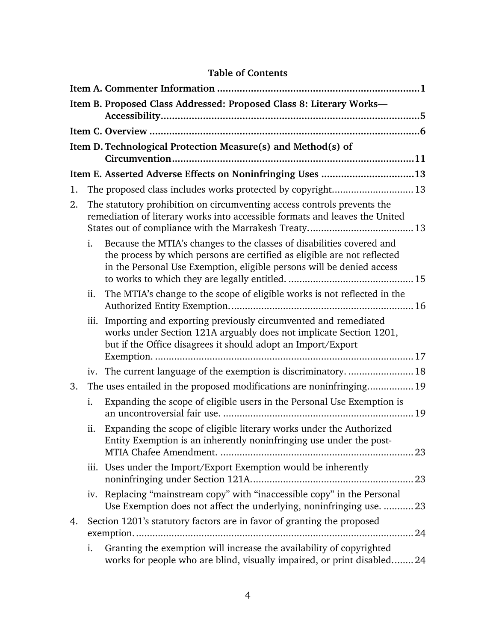# **Table of Contents**

|    |      | Item B. Proposed Class Addressed: Proposed Class 8: Literary Works-                                                                                                                                                        |
|----|------|----------------------------------------------------------------------------------------------------------------------------------------------------------------------------------------------------------------------------|
|    |      |                                                                                                                                                                                                                            |
|    |      | Item D. Technological Protection Measure(s) and Method(s) of                                                                                                                                                               |
|    |      | Item E. Asserted Adverse Effects on Noninfringing Uses 13                                                                                                                                                                  |
| 1. |      | The proposed class includes works protected by copyright 13                                                                                                                                                                |
| 2. |      | The statutory prohibition on circumventing access controls prevents the<br>remediation of literary works into accessible formats and leaves the United                                                                     |
|    | i.   | Because the MTIA's changes to the classes of disabilities covered and<br>the process by which persons are certified as eligible are not reflected<br>in the Personal Use Exemption, eligible persons will be denied access |
|    | ii.  | The MTIA's change to the scope of eligible works is not reflected in the                                                                                                                                                   |
|    | iii. | Importing and exporting previously circumvented and remediated<br>works under Section 121A arguably does not implicate Section 1201,<br>but if the Office disagrees it should adopt an Import/Export                       |
|    |      | iv. The current language of the exemption is discriminatory.  18                                                                                                                                                           |
| 3. |      | The uses entailed in the proposed modifications are noninfringing 19                                                                                                                                                       |
|    | i.   | Expanding the scope of eligible users in the Personal Use Exemption is                                                                                                                                                     |
|    | ii.  | Expanding the scope of eligible literary works under the Authorized<br>Entity Exemption is an inherently noninfringing use under the post-                                                                                 |
|    |      | iii. Uses under the Import/Export Exemption would be inherently                                                                                                                                                            |
|    |      | iv. Replacing "mainstream copy" with "inaccessible copy" in the Personal<br>Use Exemption does not affect the underlying, noninfringing use.  23                                                                           |
| 4. |      | Section 1201's statutory factors are in favor of granting the proposed                                                                                                                                                     |
|    | i.   | Granting the exemption will increase the availability of copyrighted<br>works for people who are blind, visually impaired, or print disabled 24                                                                            |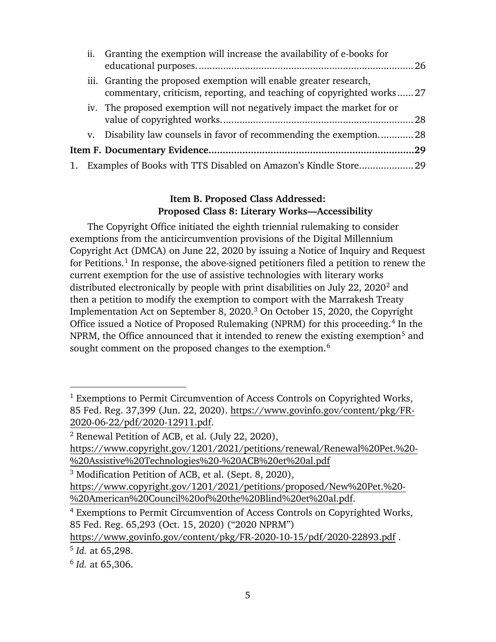|  | ii. Granting the exemption will increase the availability of e-books for                                                                    |  |
|--|---------------------------------------------------------------------------------------------------------------------------------------------|--|
|  | iii. Granting the proposed exemption will enable greater research,<br>commentary, criticism, reporting, and teaching of copyrighted works27 |  |
|  | iv. The proposed exemption will not negatively impact the market for or                                                                     |  |
|  | v. Disability law counsels in favor of recommending the exemption28                                                                         |  |
|  |                                                                                                                                             |  |
|  | 1. Examples of Books with TTS Disabled on Amazon's Kindle Store 29                                                                          |  |

## **Item B. Proposed Class Addressed: Proposed Class 8: Literary Works—Accessibility**

The Copyright Office initiated the eighth triennial rulemaking to consider exemptions from the anticircumvention provisions of the Digital Millennium Copyright Act (DMCA) on June 22, 2020 by issuing a Notice of Inquiry and Request for Petitions.<sup>1</sup> In response, the above-signed petitioners filed a petition to renew the current exemption for the use of assistive technologies with literary works distributed electronically by people with print disabilities on July 22, 2020<sup>2</sup> and then a petition to modify the exemption to comport with the Marrakesh Treaty Implementation Act on September 8, 2020. <sup>3</sup> On October 15, 2020, the Copyright Office issued a Notice of Proposed Rulemaking (NPRM) for this proceeding.<sup>4</sup> In the NPRM, the Office announced that it intended to renew the existing exemption<sup>5</sup> and sought comment on the proposed changes to the exemption.<sup>6</sup>

https://www.govinfo.gov/content/pkg/FR-2020-10-15/pdf/2020-22893.pdf .

<sup>&</sup>lt;sup>1</sup> Exemptions to Permit Circumvention of Access Controls on Copyrighted Works, 85 Fed. Reg. 37,399 (Jun. 22, 2020). https://www.govinfo.gov/content/pkg/FR-2020-06-22/pdf/2020-12911.pdf.

<sup>2</sup> Renewal Petition of ACB, et al. (July 22, 2020),

https://www.copyright.gov/1201/2021/petitions/renewal/Renewal%20Pet.%20- %20Assistive%20Technologies%20-%20ACB%20et%20al.pdf

<sup>3</sup> Modification Petition of ACB, et al. (Sept. 8, 2020), https://www.copyright.gov/1201/2021/petitions/proposed/New%20Pet.%20- %20American%20Council%20of%20the%20Blind%20et%20al.pdf.

<sup>4</sup> Exemptions to Permit Circumvention of Access Controls on Copyrighted Works, 85 Fed. Reg. 65,293 (Oct. 15, 2020) ("2020 NPRM")

<sup>5</sup> *Id.* at 65,298.

<sup>6</sup> *Id.* at 65,306.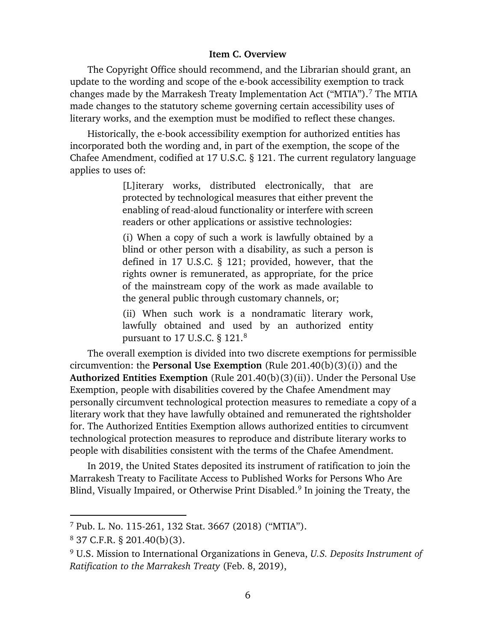#### **Item C. Overview**

The Copyright Office should recommend, and the Librarian should grant, an update to the wording and scope of the e-book accessibility exemption to track changes made by the Marrakesh Treaty Implementation Act ("MTIA"). <sup>7</sup> The MTIA made changes to the statutory scheme governing certain accessibility uses of literary works, and the exemption must be modified to reflect these changes.

Historically, the e-book accessibility exemption for authorized entities has incorporated both the wording and, in part of the exemption, the scope of the Chafee Amendment, codified at 17 U.S.C. § 121. The current regulatory language applies to uses of:

> [L]iterary works, distributed electronically, that are protected by technological measures that either prevent the enabling of read-aloud functionality or interfere with screen readers or other applications or assistive technologies:

> (i) When a copy of such a work is lawfully obtained by a blind or other person with a disability, as such a person is defined in 17 U.S.C. § 121; provided, however, that the rights owner is remunerated, as appropriate, for the price of the mainstream copy of the work as made available to the general public through customary channels, or;

> (ii) When such work is a nondramatic literary work, lawfully obtained and used by an authorized entity pursuant to  $17$  U.S.C.  $\S$   $121.^8$

The overall exemption is divided into two discrete exemptions for permissible circumvention: the **Personal Use Exemption** (Rule 201.40(b)(3)(i)) and the **Authorized Entities Exemption** (Rule 201.40(b)(3)(ii)). Under the Personal Use Exemption, people with disabilities covered by the Chafee Amendment may personally circumvent technological protection measures to remediate a copy of a literary work that they have lawfully obtained and remunerated the rightsholder for. The Authorized Entities Exemption allows authorized entities to circumvent technological protection measures to reproduce and distribute literary works to people with disabilities consistent with the terms of the Chafee Amendment.

In 2019, the United States deposited its instrument of ratification to join the Marrakesh Treaty to Facilitate Access to Published Works for Persons Who Are Blind, Visually Impaired, or Otherwise Print Disabled.9 In joining the Treaty, the

<sup>7</sup> Pub. L. No. 115-261, 132 Stat. 3667 (2018) ("MTIA").

<sup>8</sup> 37 C.F.R. § 201.40(b)(3).

<sup>9</sup> U.S. Mission to International Organizations in Geneva, *U.S. Deposits Instrument of Ratification to the Marrakesh Treaty* (Feb. 8, 2019),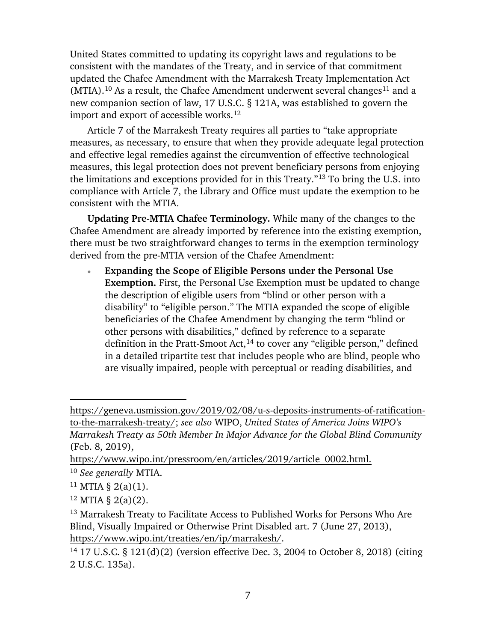United States committed to updating its copyright laws and regulations to be consistent with the mandates of the Treaty, and in service of that commitment updated the Chafee Amendment with the Marrakesh Treaty Implementation Act (MTIA).<sup>10</sup> As a result, the Chafee Amendment underwent several changes<sup>11</sup> and a new companion section of law, 17 U.S.C. § 121A, was established to govern the import and export of accessible works.<sup>12</sup>

Article 7 of the Marrakesh Treaty requires all parties to "take appropriate measures, as necessary, to ensure that when they provide adequate legal protection and effective legal remedies against the circumvention of effective technological measures, this legal protection does not prevent beneficiary persons from enjoying the limitations and exceptions provided for in this Treaty."13 To bring the U.S. into compliance with Article 7, the Library and Office must update the exemption to be consistent with the MTIA.

**Updating Pre-MTIA Chafee Terminology.** While many of the changes to the Chafee Amendment are already imported by reference into the existing exemption, there must be two straightforward changes to terms in the exemption terminology derived from the pre-MTIA version of the Chafee Amendment:

• **Expanding the Scope of Eligible Persons under the Personal Use Exemption.** First, the Personal Use Exemption must be updated to change the description of eligible users from ''blind or other person with a disability" to "eligible person." The MTIA expanded the scope of eligible beneficiaries of the Chafee Amendment by changing the term "blind or other persons with disabilities," defined by reference to a separate definition in the Pratt-Smoot Act, $14$  to cover any "eligible person," defined in a detailed tripartite test that includes people who are blind, people who are visually impaired, people with perceptual or reading disabilities, and

https://geneva.usmission.gov/2019/02/08/u-s-deposits-instruments-of-ratificationto-the-marrakesh-treaty/; *see also* WIPO, *United States of America Joins WIPO's Marrakesh Treaty as 50th Member In Major Advance for the Global Blind Community* (Feb. 8, 2019),

https://www.wipo.int/pressroom/en/articles/2019/article\_0002.html.

<sup>10</sup> *See generally* MTIA.

 $11$  MTIA § 2(a)(1).

 $12$  MTIA § 2(a)(2).

<sup>13</sup> Marrakesh Treaty to Facilitate Access to Published Works for Persons Who Are Blind, Visually Impaired or Otherwise Print Disabled art. 7 (June 27, 2013), https://www.wipo.int/treaties/en/ip/marrakesh/.

<sup>14</sup> 17 U.S.C. § 121(d)(2) (version effective Dec. 3, 2004 to October 8, 2018) (citing 2 U.S.C. 135a).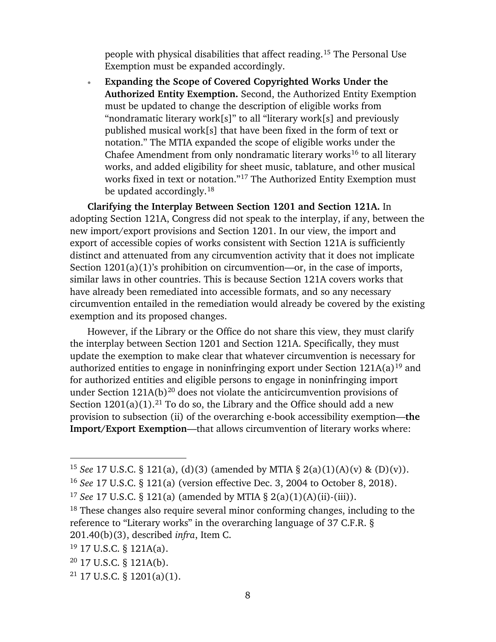people with physical disabilities that affect reading.15 The Personal Use Exemption must be expanded accordingly.

• **Expanding the Scope of Covered Copyrighted Works Under the Authorized Entity Exemption.** Second, the Authorized Entity Exemption must be updated to change the description of eligible works from "nondramatic literary work[s]" to all "literary work[s] and previously published musical work[s] that have been fixed in the form of text or notation." The MTIA expanded the scope of eligible works under the Chafee Amendment from only nondramatic literary works<sup>16</sup> to all literary works, and added eligibility for sheet music, tablature, and other musical works fixed in text or notation."17 The Authorized Entity Exemption must be updated accordingly.<sup>18</sup>

**Clarifying the Interplay Between Section 1201 and Section 121A.** In adopting Section 121A, Congress did not speak to the interplay, if any, between the new import/export provisions and Section 1201. In our view, the import and export of accessible copies of works consistent with Section 121A is sufficiently distinct and attenuated from any circumvention activity that it does not implicate Section 1201(a)(1)'s prohibition on circumvention—or, in the case of imports, similar laws in other countries. This is because Section 121A covers works that have already been remediated into accessible formats, and so any necessary circumvention entailed in the remediation would already be covered by the existing exemption and its proposed changes.

However, if the Library or the Office do not share this view, they must clarify the interplay between Section 1201 and Section 121A. Specifically, they must update the exemption to make clear that whatever circumvention is necessary for authorized entities to engage in noninfringing export under Section  $121A(a)^{19}$  and for authorized entities and eligible persons to engage in noninfringing import under Section  $121A(b)^{20}$  does not violate the anticircumvention provisions of Section  $1201(a)(1)$ .<sup>21</sup> To do so, the Library and the Office should add a new provision to subsection (ii) of the overarching e-book accessibility exemption—**the Import/Export Exemption**—that allows circumvention of literary works where:

- <sup>20</sup> 17 U.S.C. § 121A(b).
- $21$  17 U.S.C. § 1201(a)(1).

<sup>15</sup> *See* 17 U.S.C. § 121(a), (d)(3) (amended by MTIA § 2(a)(1)(A)(v) & (D)(v)).

<sup>16</sup> *See* 17 U.S.C. § 121(a) (version effective Dec. 3, 2004 to October 8, 2018).

<sup>17</sup> *See* 17 U.S.C. § 121(a) (amended by MTIA § 2(a)(1)(A)(ii)-(iii)).

<sup>&</sup>lt;sup>18</sup> These changes also require several minor conforming changes, including to the reference to "Literary works" in the overarching language of 37 C.F.R. § 201.40(b)(3), described *infra*, Item C.

<sup>19</sup> 17 U.S.C. § 121A(a).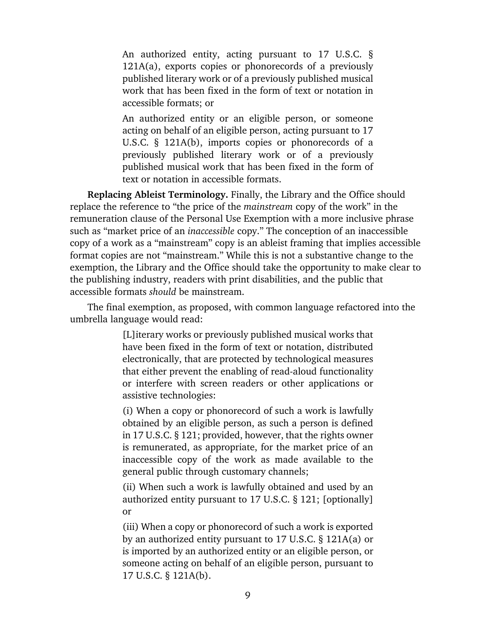An authorized entity, acting pursuant to 17 U.S.C. § 121A(a), exports copies or phonorecords of a previously published literary work or of a previously published musical work that has been fixed in the form of text or notation in accessible formats; or

An authorized entity or an eligible person, or someone acting on behalf of an eligible person, acting pursuant to 17 U.S.C. § 121A(b), imports copies or phonorecords of a previously published literary work or of a previously published musical work that has been fixed in the form of text or notation in accessible formats.

**Replacing Ableist Terminology.** Finally, the Library and the Office should replace the reference to "the price of the *mainstream* copy of the work" in the remuneration clause of the Personal Use Exemption with a more inclusive phrase such as "market price of an *inaccessible* copy." The conception of an inaccessible copy of a work as a "mainstream" copy is an ableist framing that implies accessible format copies are not "mainstream." While this is not a substantive change to the exemption, the Library and the Office should take the opportunity to make clear to the publishing industry, readers with print disabilities, and the public that accessible formats *should* be mainstream.

The final exemption, as proposed, with common language refactored into the umbrella language would read:

> [L]iterary works or previously published musical works that have been fixed in the form of text or notation, distributed electronically, that are protected by technological measures that either prevent the enabling of read-aloud functionality or interfere with screen readers or other applications or assistive technologies:

> (i) When a copy or phonorecord of such a work is lawfully obtained by an eligible person, as such a person is defined in 17 U.S.C. § 121; provided, however, that the rights owner is remunerated, as appropriate, for the market price of an inaccessible copy of the work as made available to the general public through customary channels;

> (ii) When such a work is lawfully obtained and used by an authorized entity pursuant to 17 U.S.C. § 121; [optionally] or

> (iii) When a copy or phonorecord of such a work is exported by an authorized entity pursuant to 17 U.S.C. § 121A(a) or is imported by an authorized entity or an eligible person, or someone acting on behalf of an eligible person, pursuant to 17 U.S.C. § 121A(b).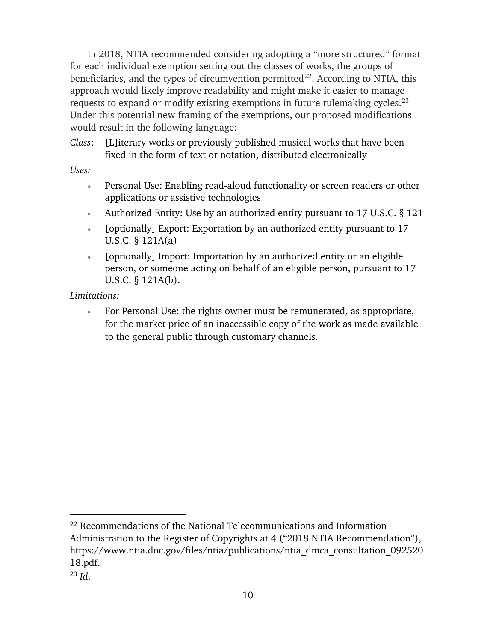In 2018, NTIA recommended considering adopting a "more structured" format for each individual exemption setting out the classes of works, the groups of beneficiaries, and the types of circumvention permitted $^{22}$ . According to NTIA, this approach would likely improve readability and might make it easier to manage requests to expand or modify existing exemptions in future rulemaking cycles.<sup>23</sup> Under this potential new framing of the exemptions, our proposed modifications would result in the following language:

*Class*: [L]iterary works or previously published musical works that have been fixed in the form of text or notation, distributed electronically

*Uses:*

- Personal Use: Enabling read-aloud functionality or screen readers or other applications or assistive technologies
- Authorized Entity: Use by an authorized entity pursuant to 17 U.S.C. § 121
- [optionally] Export: Exportation by an authorized entity pursuant to 17 U.S.C. § 121A(a)
- [optionally] Import: Importation by an authorized entity or an eligible person, or someone acting on behalf of an eligible person, pursuant to 17 U.S.C. § 121A(b).

*Limitations:*

 $\overline{a}$ 

• For Personal Use: the rights owner must be remunerated, as appropriate, for the market price of an inaccessible copy of the work as made available to the general public through customary channels.

<sup>&</sup>lt;sup>22</sup> Recommendations of the National Telecommunications and Information Administration to the Register of Copyrights at 4 ("2018 NTIA Recommendation"), https://www.ntia.doc.gov/files/ntia/publications/ntia\_dmca\_consultation\_092520 18.pdf. <sup>23</sup> *Id*.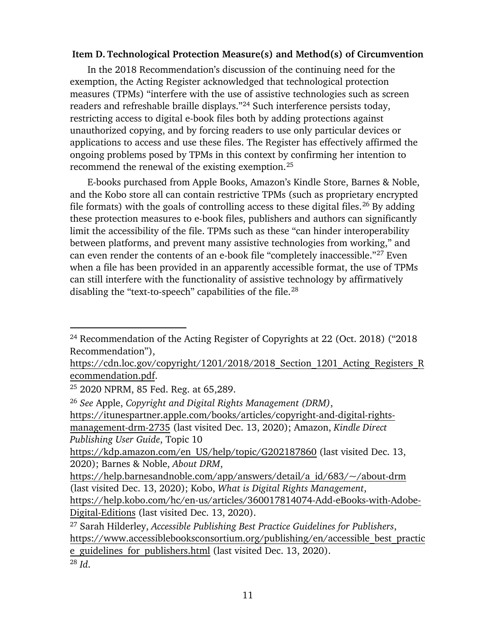#### **Item D. Technological Protection Measure(s) and Method(s) of Circumvention**

In the 2018 Recommendation's discussion of the continuing need for the exemption, the Acting Register acknowledged that technological protection measures (TPMs) "interfere with the use of assistive technologies such as screen readers and refreshable braille displays."24 Such interference persists today, restricting access to digital e-book files both by adding protections against unauthorized copying, and by forcing readers to use only particular devices or applications to access and use these files. The Register has effectively affirmed the ongoing problems posed by TPMs in this context by confirming her intention to recommend the renewal of the existing exemption.25

E-books purchased from Apple Books, Amazon's Kindle Store, Barnes & Noble, and the Kobo store all can contain restrictive TPMs (such as proprietary encrypted file formats) with the goals of controlling access to these digital files.<sup>26</sup> By adding these protection measures to e-book files, publishers and authors can significantly limit the accessibility of the file. TPMs such as these "can hinder interoperability between platforms, and prevent many assistive technologies from working," and can even render the contents of an e-book file "completely inaccessible."27 Even when a file has been provided in an apparently accessible format, the use of TPMs can still interfere with the functionality of assistive technology by affirmatively disabling the "text-to-speech" capabilities of the file.<sup>28</sup>

<sup>28</sup> *Id*.

<sup>24</sup> Recommendation of the Acting Register of Copyrights at 22 (Oct. 2018) ("2018 Recommendation"),

https://cdn.loc.gov/copyright/1201/2018/2018 Section 1201 Acting Registers R ecommendation.pdf.

<sup>25</sup> 2020 NPRM, 85 Fed. Reg. at 65,289.

<sup>26</sup> *See* Apple, *Copyright and Digital Rights Management (DRM)*, https://itunespartner.apple.com/books/articles/copyright-and-digital-rightsmanagement-drm-2735 (last visited Dec. 13, 2020); Amazon, *Kindle Direct Publishing User Guide*, Topic 10

https://kdp.amazon.com/en\_US/help/topic/G202187860 (last visited Dec. 13, 2020); Barnes & Noble, *About DRM*,

https://help.barnesandnoble.com/app/answers/detail/a\_id/683/~/about-drm (last visited Dec. 13, 2020); Kobo, *What is Digital Rights Management*, https://help.kobo.com/hc/en-us/articles/360017814074-Add-eBooks-with-Adobe-Digital-Editions (last visited Dec. 13, 2020).

<sup>27</sup> Sarah Hilderley, *Accessible Publishing Best Practice Guidelines for Publishers*, https://www.accessiblebooksconsortium.org/publishing/en/accessible\_best\_practic e\_guidelines\_for\_publishers.html (last visited Dec. 13, 2020).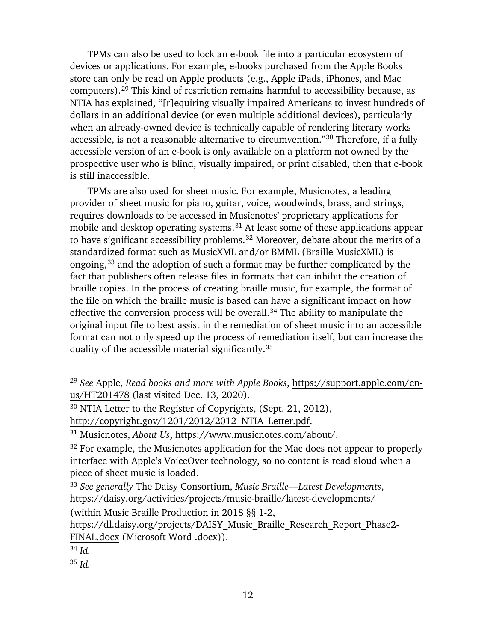TPMs can also be used to lock an e-book file into a particular ecosystem of devices or applications. For example, e-books purchased from the Apple Books store can only be read on Apple products (e.g., Apple iPads, iPhones, and Mac computers).29 This kind of restriction remains harmful to accessibility because, as NTIA has explained, "[r]equiring visually impaired Americans to invest hundreds of dollars in an additional device (or even multiple additional devices), particularly when an already-owned device is technically capable of rendering literary works accessible, is not a reasonable alternative to circumvention."30 Therefore, if a fully accessible version of an e-book is only available on a platform not owned by the prospective user who is blind, visually impaired, or print disabled, then that e-book is still inaccessible.

TPMs are also used for sheet music. For example, Musicnotes, a leading provider of sheet music for piano, guitar, voice, woodwinds, brass, and strings, requires downloads to be accessed in Musicnotes' proprietary applications for mobile and desktop operating systems.<sup>31</sup> At least some of these applications appear to have significant accessibility problems.<sup>32</sup> Moreover, debate about the merits of a standardized format such as MusicXML and/or BMML (Braille MusicXML) is ongoing, <sup>33</sup> and the adoption of such a format may be further complicated by the fact that publishers often release files in formats that can inhibit the creation of braille copies. In the process of creating braille music, for example, the format of the file on which the braille music is based can have a significant impact on how effective the conversion process will be overall.<sup>34</sup> The ability to manipulate the original input file to best assist in the remediation of sheet music into an accessible format can not only speed up the process of remediation itself, but can increase the quality of the accessible material significantly.35

(within Music Braille Production in 2018 §§ 1-2,

<sup>29</sup> *See* Apple, *Read books and more with Apple Books*, https://support.apple.com/enus/HT201478 (last visited Dec. 13, 2020).

<sup>30</sup> NTIA Letter to the Register of Copyrights, (Sept. 21, 2012),

http://copyright.gov/1201/2012/2012\_NTIA\_Letter.pdf.

<sup>31</sup> Musicnotes, *About Us*, https://www.musicnotes.com/about/.

 $32$  For example, the Musicnotes application for the Mac does not appear to properly interface with Apple's VoiceOver technology, so no content is read aloud when a piece of sheet music is loaded.

<sup>33</sup> *See generally* The Daisy Consortium, *Music Braille—Latest Developments*, https://daisy.org/activities/projects/music-braille/latest-developments/

https://dl.daisy.org/projects/DAISY\_Music\_Braille\_Research\_Report\_Phase2- FINAL.docx (Microsoft Word .docx)).

<sup>34</sup> *Id.*

<sup>35</sup> *Id.*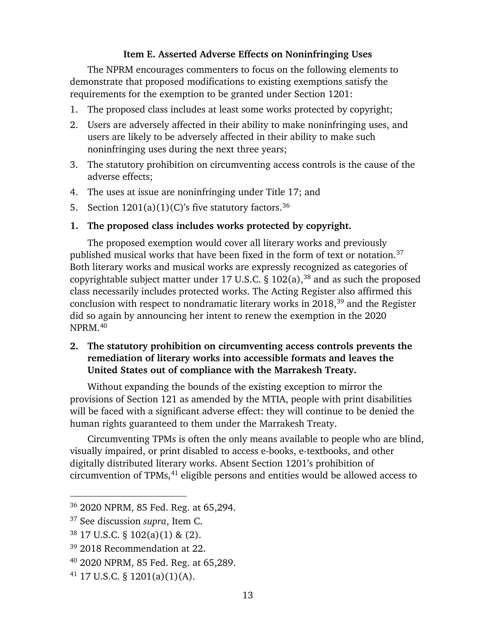#### **Item E. Asserted Adverse Effects on Noninfringing Uses**

The NPRM encourages commenters to focus on the following elements to demonstrate that proposed modifications to existing exemptions satisfy the requirements for the exemption to be granted under Section 1201:

- 1. The proposed class includes at least some works protected by copyright;
- 2. Users are adversely affected in their ability to make noninfringing uses, and users are likely to be adversely affected in their ability to make such noninfringing uses during the next three years;
- 3. The statutory prohibition on circumventing access controls is the cause of the adverse effects;
- 4. The uses at issue are noninfringing under Title 17; and
- 5. Section  $1201(a)(1)(C)$ 's five statutory factors.<sup>36</sup>
- **1. The proposed class includes works protected by copyright.**

The proposed exemption would cover all literary works and previously published musical works that have been fixed in the form of text or notation.37 Both literary works and musical works are expressly recognized as categories of copyrightable subject matter under 17 U.S.C.  $\S$  102(a), <sup>38</sup> and as such the proposed class necessarily includes protected works. The Acting Register also affirmed this conclusion with respect to nondramatic literary works in 2018,39 and the Register did so again by announcing her intent to renew the exemption in the 2020 NPRM.40

## **2. The statutory prohibition on circumventing access controls prevents the remediation of literary works into accessible formats and leaves the United States out of compliance with the Marrakesh Treaty.**

Without expanding the bounds of the existing exception to mirror the provisions of Section 121 as amended by the MTIA, people with print disabilities will be faced with a significant adverse effect: they will continue to be denied the human rights guaranteed to them under the Marrakesh Treaty.

Circumventing TPMs is often the only means available to people who are blind, visually impaired, or print disabled to access e-books, e-textbooks, and other digitally distributed literary works. Absent Section 1201's prohibition of circumvention of TPMs,<sup>41</sup> eligible persons and entities would be allowed access to

<sup>36</sup> 2020 NPRM, 85 Fed. Reg. at 65,294.

<sup>37</sup> See discussion *supra*, Item C.

<sup>38</sup> 17 U.S.C. § 102(a)(1) & (2).

<sup>39</sup> 2018 Recommendation at 22.

<sup>40</sup> 2020 NPRM, 85 Fed. Reg. at 65,289.

 $41$  17 U.S.C. § 1201(a)(1)(A).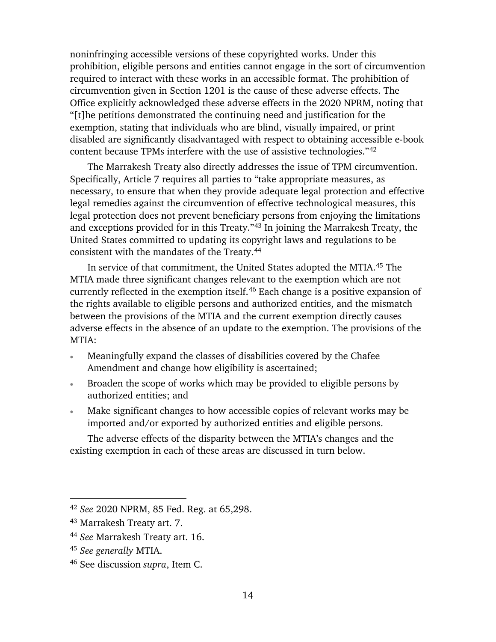noninfringing accessible versions of these copyrighted works. Under this prohibition, eligible persons and entities cannot engage in the sort of circumvention required to interact with these works in an accessible format. The prohibition of circumvention given in Section 1201 is the cause of these adverse effects. The Office explicitly acknowledged these adverse effects in the 2020 NPRM, noting that "[t]he petitions demonstrated the continuing need and justification for the exemption, stating that individuals who are blind, visually impaired, or print disabled are significantly disadvantaged with respect to obtaining accessible e-book content because TPMs interfere with the use of assistive technologies."42

The Marrakesh Treaty also directly addresses the issue of TPM circumvention. Specifically, Article 7 requires all parties to "take appropriate measures, as necessary, to ensure that when they provide adequate legal protection and effective legal remedies against the circumvention of effective technological measures, this legal protection does not prevent beneficiary persons from enjoying the limitations and exceptions provided for in this Treaty."43 In joining the Marrakesh Treaty, the United States committed to updating its copyright laws and regulations to be consistent with the mandates of the Treaty.44

In service of that commitment, the United States adopted the MTIA. <sup>45</sup> The MTIA made three significant changes relevant to the exemption which are not currently reflected in the exemption itself. <sup>46</sup> Each change is a positive expansion of the rights available to eligible persons and authorized entities, and the mismatch between the provisions of the MTIA and the current exemption directly causes adverse effects in the absence of an update to the exemption. The provisions of the MTIA:

- Meaningfully expand the classes of disabilities covered by the Chafee Amendment and change how eligibility is ascertained;
- Broaden the scope of works which may be provided to eligible persons by authorized entities; and
- Make significant changes to how accessible copies of relevant works may be imported and/or exported by authorized entities and eligible persons.

The adverse effects of the disparity between the MTIA's changes and the existing exemption in each of these areas are discussed in turn below.

<sup>42</sup> *See* 2020 NPRM, 85 Fed. Reg. at 65,298.

<sup>43</sup> Marrakesh Treaty art. 7.

<sup>44</sup> *See* Marrakesh Treaty art. 16.

<sup>45</sup> *See generally* MTIA.

<sup>46</sup> See discussion *supra*, Item C.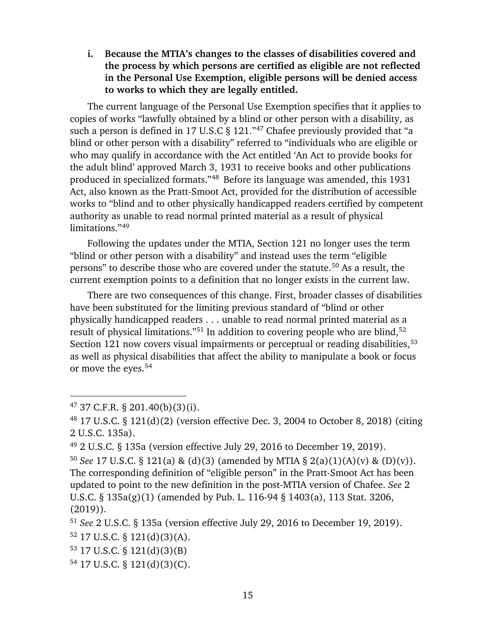**i. Because the MTIA's changes to the classes of disabilities covered and the process by which persons are certified as eligible are not reflected in the Personal Use Exemption, eligible persons will be denied access to works to which they are legally entitled.**

The current language of the Personal Use Exemption specifies that it applies to copies of works "lawfully obtained by a blind or other person with a disability, as such a person is defined in 17 U.S.C § 121."<sup>47</sup> Chafee previously provided that "a blind or other person with a disability" referred to "individuals who are eligible or who may qualify in accordance with the Act entitled 'An Act to provide books for the adult blind' approved March 3, 1931 to receive books and other publications produced in specialized formats."48 Before its language was amended, this 1931 Act, also known as the Pratt-Smoot Act, provided for the distribution of accessible works to "blind and to other physically handicapped readers certified by competent authority as unable to read normal printed material as a result of physical limitations."49

Following the updates under the MTIA, Section 121 no longer uses the term "blind or other person with a disability" and instead uses the term "eligible persons" to describe those who are covered under the statute.<sup>50</sup> As a result, the current exemption points to a definition that no longer exists in the current law.

There are two consequences of this change. First, broader classes of disabilities have been substituted for the limiting previous standard of "blind or other physically handicapped readers . . . unable to read normal printed material as a result of physical limitations."51 In addition to covering people who are blind, 52 Section 121 now covers visual impairments or perceptual or reading disabilities, <sup>53</sup> as well as physical disabilities that affect the ability to manipulate a book or focus or move the eyes.<sup>54</sup>

- $52$  17 U.S.C. § 121(d)(3)(A).
- <sup>53</sup> 17 U.S.C. § 121(d)(3)(B)
- <sup>54</sup> 17 U.S.C. § 121(d)(3)(C).

 $47$  37 C.F.R. § 201.40(b)(3)(i).

<sup>48</sup> 17 U.S.C. § 121(d)(2) (version effective Dec. 3, 2004 to October 8, 2018) (citing 2 U.S.C. 135a).

<sup>49</sup> 2 U.S.C. § 135a (version effective July 29, 2016 to December 19, 2019).

<sup>50</sup> *See* 17 U.S.C. § 121(a) & (d)(3) (amended by MTIA § 2(a)(1)(A)(v) & (D)(v)). The corresponding definition of "eligible person" in the Pratt-Smoot Act has been updated to point to the new definition in the post-MTIA version of Chafee. *See* 2 U.S.C. § 135a(g)(1) (amended by Pub. L. 116-94 § 1403(a), 113 Stat. 3206, (2019)).

<sup>51</sup> *See* 2 U.S.C. § 135a (version effective July 29, 2016 to December 19, 2019).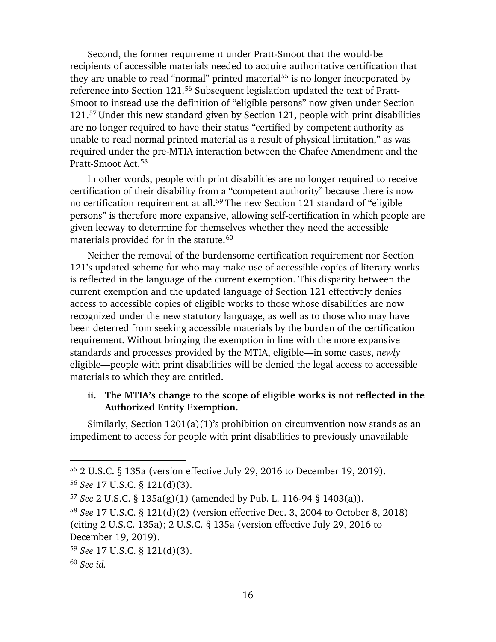Second, the former requirement under Pratt-Smoot that the would-be recipients of accessible materials needed to acquire authoritative certification that they are unable to read "normal" printed material<sup>55</sup> is no longer incorporated by reference into Section 121.56 Subsequent legislation updated the text of Pratt-Smoot to instead use the definition of "eligible persons" now given under Section 121. <sup>57</sup> Under this new standard given by Section 121, people with print disabilities are no longer required to have their status "certified by competent authority as unable to read normal printed material as a result of physical limitation," as was required under the pre-MTIA interaction between the Chafee Amendment and the Pratt-Smoot Act.58

In other words, people with print disabilities are no longer required to receive certification of their disability from a "competent authority" because there is now no certification requirement at all.<sup>59</sup> The new Section 121 standard of "eligible persons" is therefore more expansive, allowing self-certification in which people are given leeway to determine for themselves whether they need the accessible materials provided for in the statute.<sup>60</sup>

Neither the removal of the burdensome certification requirement nor Section 121's updated scheme for who may make use of accessible copies of literary works is reflected in the language of the current exemption. This disparity between the current exemption and the updated language of Section 121 effectively denies access to accessible copies of eligible works to those whose disabilities are now recognized under the new statutory language, as well as to those who may have been deterred from seeking accessible materials by the burden of the certification requirement. Without bringing the exemption in line with the more expansive standards and processes provided by the MTIA, eligible—in some cases, *newly*  eligible—people with print disabilities will be denied the legal access to accessible materials to which they are entitled.

#### **ii. The MTIA's change to the scope of eligible works is not reflected in the Authorized Entity Exemption.**

Similarly, Section 1201(a)(1)'s prohibition on circumvention now stands as an impediment to access for people with print disabilities to previously unavailable

<sup>55</sup> 2 U.S.C. § 135a (version effective July 29, 2016 to December 19, 2019).

<sup>56</sup> *See* 17 U.S.C. § 121(d)(3).

<sup>57</sup> *See* 2 U.S.C. § 135a(g)(1) (amended by Pub. L. 116-94 § 1403(a)).

<sup>58</sup> *See* 17 U.S.C. § 121(d)(2) (version effective Dec. 3, 2004 to October 8, 2018) (citing 2 U.S.C. 135a); 2 U.S.C. § 135a (version effective July 29, 2016 to December 19, 2019).

<sup>59</sup> *See* 17 U.S.C. § 121(d)(3).

<sup>60</sup> *See id.*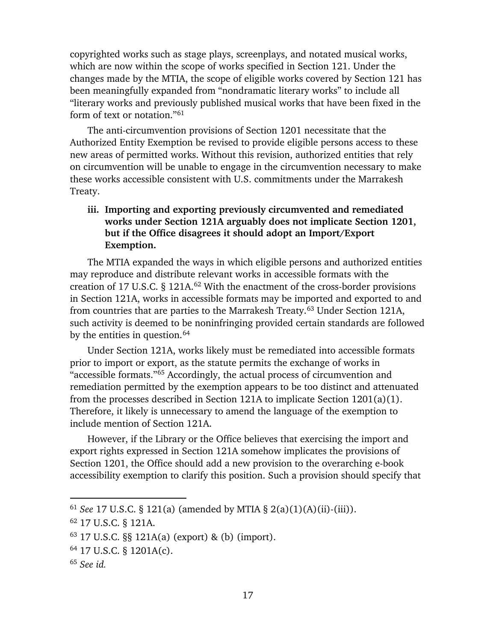copyrighted works such as stage plays, screenplays, and notated musical works, which are now within the scope of works specified in Section 121. Under the changes made by the MTIA, the scope of eligible works covered by Section 121 has been meaningfully expanded from "nondramatic literary works" to include all "literary works and previously published musical works that have been fixed in the form of text or notation."<sup>61</sup>

The anti-circumvention provisions of Section 1201 necessitate that the Authorized Entity Exemption be revised to provide eligible persons access to these new areas of permitted works. Without this revision, authorized entities that rely on circumvention will be unable to engage in the circumvention necessary to make these works accessible consistent with U.S. commitments under the Marrakesh Treaty.

## **iii. Importing and exporting previously circumvented and remediated works under Section 121A arguably does not implicate Section 1201, but if the Office disagrees it should adopt an Import/Export Exemption.**

The MTIA expanded the ways in which eligible persons and authorized entities may reproduce and distribute relevant works in accessible formats with the creation of 17 U.S.C. § 121A. <sup>62</sup> With the enactment of the cross-border provisions in Section 121A, works in accessible formats may be imported and exported to and from countries that are parties to the Marrakesh Treaty.63 Under Section 121A, such activity is deemed to be noninfringing provided certain standards are followed by the entities in question.<sup>64</sup>

Under Section 121A, works likely must be remediated into accessible formats prior to import or export, as the statute permits the exchange of works in "accessible formats."65 Accordingly, the actual process of circumvention and remediation permitted by the exemption appears to be too distinct and attenuated from the processes described in Section 121A to implicate Section 1201(a)(1). Therefore, it likely is unnecessary to amend the language of the exemption to include mention of Section 121A.

However, if the Library or the Office believes that exercising the import and export rights expressed in Section 121A somehow implicates the provisions of Section 1201, the Office should add a new provision to the overarching e-book accessibility exemption to clarify this position. Such a provision should specify that

<sup>61</sup> *See* 17 U.S.C. § 121(a) (amended by MTIA § 2(a)(1)(A)(ii)-(iii)).

<sup>62</sup> 17 U.S.C. § 121A.

<sup>63</sup> 17 U.S.C. §§ 121A(a) (export) & (b) (import).

<sup>64</sup> 17 U.S.C. § 1201A(c).

<sup>65</sup> *See id.*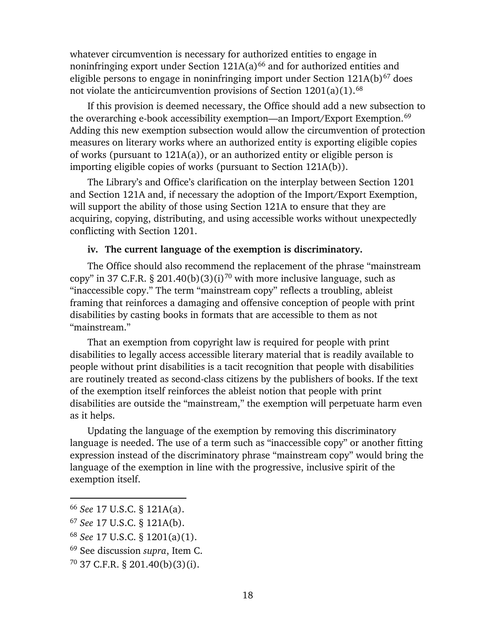whatever circumvention is necessary for authorized entities to engage in noninfringing export under Section  $121A(a)^{66}$  and for authorized entities and eligible persons to engage in noninfringing import under Section  $121A(b)^{67}$  does not violate the anticircumvention provisions of Section  $1201(a)(1)$ .<sup>68</sup>

If this provision is deemed necessary, the Office should add a new subsection to the overarching e-book accessibility exemption—an Import/Export Exemption.<sup>69</sup> Adding this new exemption subsection would allow the circumvention of protection measures on literary works where an authorized entity is exporting eligible copies of works (pursuant to 121A(a)), or an authorized entity or eligible person is importing eligible copies of works (pursuant to Section 121A(b)).

The Library's and Office's clarification on the interplay between Section 1201 and Section 121A and, if necessary the adoption of the Import/Export Exemption, will support the ability of those using Section 121A to ensure that they are acquiring, copying, distributing, and using accessible works without unexpectedly conflicting with Section 1201.

#### **iv. The current language of the exemption is discriminatory.**

The Office should also recommend the replacement of the phrase "mainstream copy" in 37 C.F.R. § 201.40(b)(3)(i)<sup>70</sup> with more inclusive language, such as "inaccessible copy." The term "mainstream copy" reflects a troubling, ableist framing that reinforces a damaging and offensive conception of people with print disabilities by casting books in formats that are accessible to them as not "mainstream."

That an exemption from copyright law is required for people with print disabilities to legally access accessible literary material that is readily available to people without print disabilities is a tacit recognition that people with disabilities are routinely treated as second-class citizens by the publishers of books. If the text of the exemption itself reinforces the ableist notion that people with print disabilities are outside the "mainstream," the exemption will perpetuate harm even as it helps.

Updating the language of the exemption by removing this discriminatory language is needed. The use of a term such as "inaccessible copy" or another fitting expression instead of the discriminatory phrase "mainstream copy" would bring the language of the exemption in line with the progressive, inclusive spirit of the exemption itself.

- <sup>67</sup> *See* 17 U.S.C. § 121A(b).
- <sup>68</sup> *See* 17 U.S.C. § 1201(a)(1).
- <sup>69</sup> See discussion *supra*, Item C.
- $70$  37 C.F.R. § 201.40(b)(3)(i).

<sup>66</sup> *See* 17 U.S.C. § 121A(a).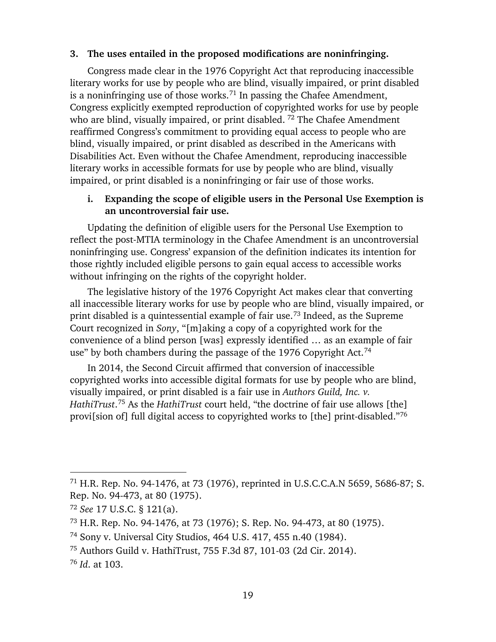#### **3. The uses entailed in the proposed modifications are noninfringing.**

Congress made clear in the 1976 Copyright Act that reproducing inaccessible literary works for use by people who are blind, visually impaired, or print disabled is a noninfringing use of those works.<sup>71</sup> In passing the Chafee Amendment, Congress explicitly exempted reproduction of copyrighted works for use by people who are blind, visually impaired, or print disabled.<sup>72</sup> The Chafee Amendment reaffirmed Congress's commitment to providing equal access to people who are blind, visually impaired, or print disabled as described in the Americans with Disabilities Act. Even without the Chafee Amendment, reproducing inaccessible literary works in accessible formats for use by people who are blind, visually impaired, or print disabled is a noninfringing or fair use of those works.

## **i. Expanding the scope of eligible users in the Personal Use Exemption is an uncontroversial fair use.**

Updating the definition of eligible users for the Personal Use Exemption to reflect the post-MTIA terminology in the Chafee Amendment is an uncontroversial noninfringing use. Congress' expansion of the definition indicates its intention for those rightly included eligible persons to gain equal access to accessible works without infringing on the rights of the copyright holder.

The legislative history of the 1976 Copyright Act makes clear that converting all inaccessible literary works for use by people who are blind, visually impaired, or print disabled is a quintessential example of fair use.73 Indeed, as the Supreme Court recognized in *Sony*, "[m]aking a copy of a copyrighted work for the convenience of a blind person [was] expressly identified … as an example of fair use" by both chambers during the passage of the 1976 Copyright Act.<sup>74</sup>

In 2014, the Second Circuit affirmed that conversion of inaccessible copyrighted works into accessible digital formats for use by people who are blind, visually impaired, or print disabled is a fair use in *Authors Guild, Inc. v. HathiTrust*. <sup>75</sup> As the *HathiTrust* court held, "the doctrine of fair use allows [the] provi[sion of] full digital access to copyrighted works to [the] print-disabled."76

<sup>71</sup> H.R. Rep. No. 94-1476, at 73 (1976), reprinted in U.S.C.C.A.N 5659, 5686-87; S. Rep. No. 94-473, at 80 (1975).

<sup>72</sup> *See* 17 U.S.C. § 121(a).

<sup>73</sup> H.R. Rep. No. 94-1476, at 73 (1976); S. Rep. No. 94-473, at 80 (1975).

<sup>74</sup> Sony v. Universal City Studios, 464 U.S. 417, 455 n.40 (1984).

<sup>75</sup> Authors Guild v. HathiTrust, 755 F.3d 87, 101-03 (2d Cir. 2014).

<sup>76</sup> *Id*. at 103.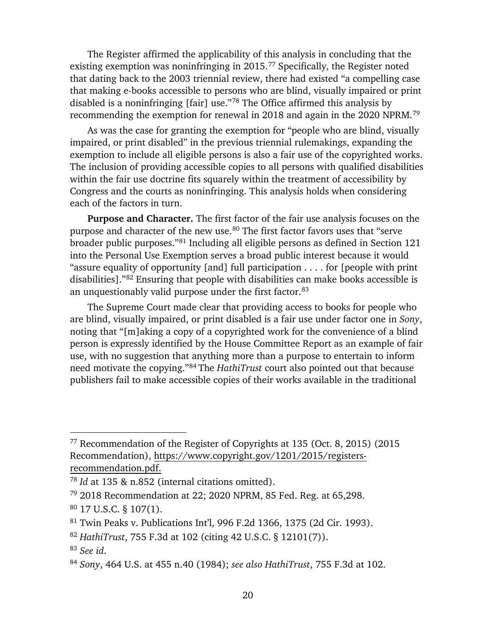The Register affirmed the applicability of this analysis in concluding that the existing exemption was noninfringing in 2015.<sup>77</sup> Specifically, the Register noted that dating back to the 2003 triennial review, there had existed "a compelling case that making e-books accessible to persons who are blind, visually impaired or print disabled is a noninfringing [fair] use."78 The Office affirmed this analysis by recommending the exemption for renewal in 2018 and again in the 2020 NPRM.79

As was the case for granting the exemption for "people who are blind, visually impaired, or print disabled" in the previous triennial rulemakings, expanding the exemption to include all eligible persons is also a fair use of the copyrighted works. The inclusion of providing accessible copies to all persons with qualified disabilities within the fair use doctrine fits squarely within the treatment of accessibility by Congress and the courts as noninfringing. This analysis holds when considering each of the factors in turn.

**Purpose and Character.** The first factor of the fair use analysis focuses on the purpose and character of the new use.<sup>80</sup> The first factor favors uses that "serve broader public purposes."81 Including all eligible persons as defined in Section 121 into the Personal Use Exemption serves a broad public interest because it would "assure equality of opportunity [and] full participation . . . . for [people with print disabilities]."82 Ensuring that people with disabilities can make books accessible is an unquestionably valid purpose under the first factor.<sup>83</sup>

The Supreme Court made clear that providing access to books for people who are blind, visually impaired, or print disabled is a fair use under factor one in *Sony*, noting that "[m]aking a copy of a copyrighted work for the convenience of a blind person is expressly identified by the House Committee Report as an example of fair use, with no suggestion that anything more than a purpose to entertain to inform need motivate the copying."84 The *HathiTrust* court also pointed out that because publishers fail to make accessible copies of their works available in the traditional

<sup>77</sup> Recommendation of the Register of Copyrights at 135 (Oct. 8, 2015) (2015 Recommendation), https://www.copyright.gov/1201/2015/registersrecommendation.pdf.

<sup>78</sup> *Id* at 135 & n.852 (internal citations omitted).

<sup>79</sup> 2018 Recommendation at 22; 2020 NPRM, 85 Fed. Reg. at 65,298.

<sup>80</sup> 17 U.S.C. § 107(1).

<sup>81</sup> Twin Peaks v. Publications Int'l, 996 F.2d 1366, 1375 (2d Cir. 1993).

<sup>82</sup> *HathiTrust*, 755 F.3d at 102 (citing 42 U.S.C. § 12101(7)).

<sup>83</sup> *See id*.

<sup>84</sup> *Sony*, 464 U.S. at 455 n.40 (1984); *see also HathiTrust*, 755 F.3d at 102.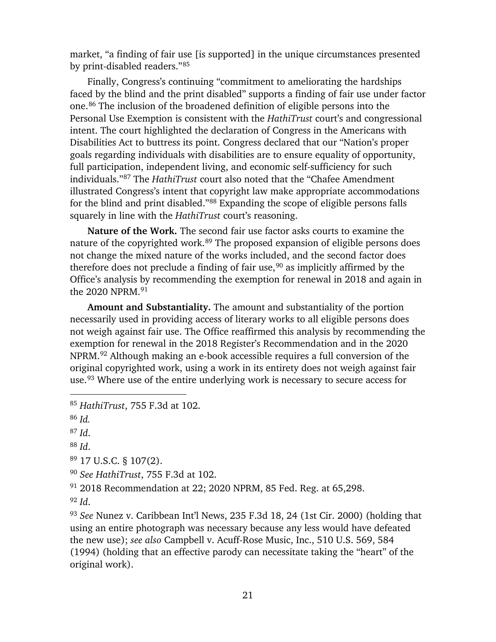market, "a finding of fair use [is supported] in the unique circumstances presented by print-disabled readers."85

Finally, Congress's continuing "commitment to ameliorating the hardships faced by the blind and the print disabled" supports a finding of fair use under factor one.86 The inclusion of the broadened definition of eligible persons into the Personal Use Exemption is consistent with the *HathiTrust* court's and congressional intent. The court highlighted the declaration of Congress in the Americans with Disabilities Act to buttress its point. Congress declared that our "Nation's proper goals regarding individuals with disabilities are to ensure equality of opportunity, full participation, independent living, and economic self-sufficiency for such individuals."87 The *HathiTrust* court also noted that the "Chafee Amendment illustrated Congress's intent that copyright law make appropriate accommodations for the blind and print disabled."88 Expanding the scope of eligible persons falls squarely in line with the *HathiTrust* court's reasoning.

**Nature of the Work.** The second fair use factor asks courts to examine the nature of the copyrighted work.<sup>89</sup> The proposed expansion of eligible persons does not change the mixed nature of the works included, and the second factor does therefore does not preclude a finding of fair use, <sup>90</sup> as implicitly affirmed by the Office's analysis by recommending the exemption for renewal in 2018 and again in the 2020 NPRM.91

**Amount and Substantiality.** The amount and substantiality of the portion necessarily used in providing access of literary works to all eligible persons does not weigh against fair use. The Office reaffirmed this analysis by recommending the exemption for renewal in the 2018 Register's Recommendation and in the 2020 NPRM. <sup>92</sup> Although making an e-book accessible requires a full conversion of the original copyrighted work, using a work in its entirety does not weigh against fair use.<sup>93</sup> Where use of the entire underlying work is necessary to secure access for

 $\overline{a}$ 

<sup>89</sup> 17 U.S.C. § 107(2).

<sup>90</sup> *See HathiTrust*, 755 F.3d at 102.

<sup>91</sup> 2018 Recommendation at 22; 2020 NPRM, 85 Fed. Reg. at 65,298.

<sup>92</sup> *Id*.

<sup>93</sup> *See* Nunez v. Caribbean Int'l News, 235 F.3d 18, 24 (1st Cir. 2000) (holding that using an entire photograph was necessary because any less would have defeated the new use); *see also* Campbell v. Acuff-Rose Music, Inc., 510 U.S. 569, 584 (1994) (holding that an effective parody can necessitate taking the "heart" of the original work).

<sup>85</sup> *HathiTrust*, 755 F.3d at 102.

<sup>86</sup> *Id.*

<sup>87</sup> *Id*.

<sup>88</sup> *Id*.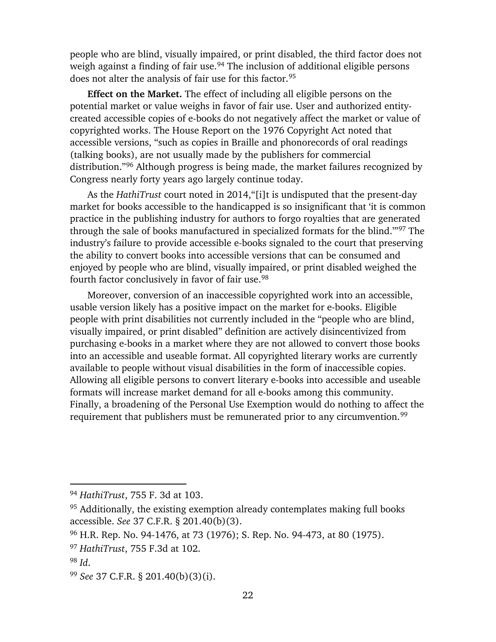people who are blind, visually impaired, or print disabled, the third factor does not weigh against a finding of fair use.<sup>94</sup> The inclusion of additional eligible persons does not alter the analysis of fair use for this factor.<sup>95</sup>

**Effect on the Market.** The effect of including all eligible persons on the potential market or value weighs in favor of fair use. User and authorized entitycreated accessible copies of e-books do not negatively affect the market or value of copyrighted works. The House Report on the 1976 Copyright Act noted that accessible versions, "such as copies in Braille and phonorecords of oral readings (talking books), are not usually made by the publishers for commercial distribution."96 Although progress is being made, the market failures recognized by Congress nearly forty years ago largely continue today.

As the *HathiTrust* court noted in 2014,"[i]t is undisputed that the present-day market for books accessible to the handicapped is so insignificant that 'it is common practice in the publishing industry for authors to forgo royalties that are generated through the sale of books manufactured in specialized formats for the blind.'"97 The industry's failure to provide accessible e-books signaled to the court that preserving the ability to convert books into accessible versions that can be consumed and enjoyed by people who are blind, visually impaired, or print disabled weighed the fourth factor conclusively in favor of fair use.<sup>98</sup>

Moreover, conversion of an inaccessible copyrighted work into an accessible, usable version likely has a positive impact on the market for e-books. Eligible people with print disabilities not currently included in the "people who are blind, visually impaired, or print disabled" definition are actively disincentivized from purchasing e-books in a market where they are not allowed to convert those books into an accessible and useable format. All copyrighted literary works are currently available to people without visual disabilities in the form of inaccessible copies. Allowing all eligible persons to convert literary e-books into accessible and useable formats will increase market demand for all e-books among this community. Finally, a broadening of the Personal Use Exemption would do nothing to affect the requirement that publishers must be remunerated prior to any circumvention.<sup>99</sup>

<sup>94</sup> *HathiTrust*, 755 F. 3d at 103.

<sup>&</sup>lt;sup>95</sup> Additionally, the existing exemption already contemplates making full books accessible. *See* 37 C.F.R. § 201.40(b)(3).

<sup>96</sup> H.R. Rep. No. 94-1476, at 73 (1976); S. Rep. No. 94-473, at 80 (1975).

<sup>97</sup> *HathiTrust*, 755 F.3d at 102.

<sup>98</sup> *Id*.

<sup>99</sup> *See* 37 C.F.R. § 201.40(b)(3)(i).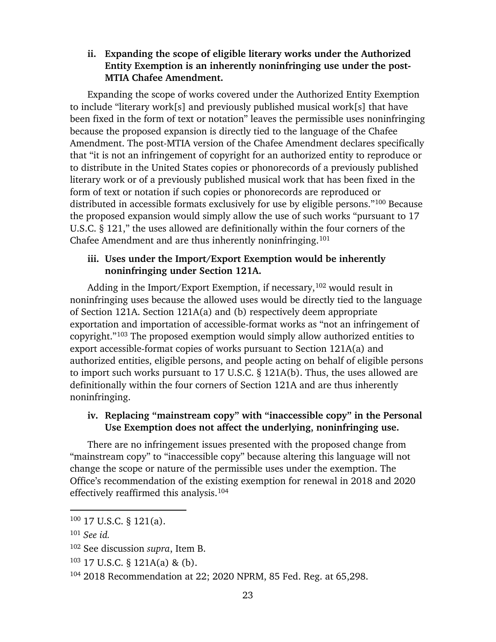## **ii. Expanding the scope of eligible literary works under the Authorized Entity Exemption is an inherently noninfringing use under the post-MTIA Chafee Amendment.**

Expanding the scope of works covered under the Authorized Entity Exemption to include "literary work[s] and previously published musical work[s] that have been fixed in the form of text or notation" leaves the permissible uses noninfringing because the proposed expansion is directly tied to the language of the Chafee Amendment. The post-MTIA version of the Chafee Amendment declares specifically that "it is not an infringement of copyright for an authorized entity to reproduce or to distribute in the United States copies or phonorecords of a previously published literary work or of a previously published musical work that has been fixed in the form of text or notation if such copies or phonorecords are reproduced or distributed in accessible formats exclusively for use by eligible persons."100 Because the proposed expansion would simply allow the use of such works "pursuant to 17 U.S.C. § 121," the uses allowed are definitionally within the four corners of the Chafee Amendment and are thus inherently noninfringing.<sup>101</sup>

### **iii. Uses under the Import/Export Exemption would be inherently noninfringing under Section 121A.**

Adding in the Import/Export Exemption, if necessary,  $102$  would result in noninfringing uses because the allowed uses would be directly tied to the language of Section 121A. Section 121A(a) and (b) respectively deem appropriate exportation and importation of accessible-format works as "not an infringement of copyright."103 The proposed exemption would simply allow authorized entities to export accessible-format copies of works pursuant to Section 121A(a) and authorized entities, eligible persons, and people acting on behalf of eligible persons to import such works pursuant to 17 U.S.C. § 121A(b). Thus, the uses allowed are definitionally within the four corners of Section 121A and are thus inherently noninfringing.

## **iv. Replacing "mainstream copy" with "inaccessible copy" in the Personal Use Exemption does not affect the underlying, noninfringing use.**

There are no infringement issues presented with the proposed change from "mainstream copy" to "inaccessible copy" because altering this language will not change the scope or nature of the permissible uses under the exemption. The Office's recommendation of the existing exemption for renewal in 2018 and 2020 effectively reaffirmed this analysis. 104

<sup>100</sup> 17 U.S.C. § 121(a).

<sup>101</sup> *See id.*

<sup>102</sup> See discussion *supra*, Item B.

<sup>103</sup> 17 U.S.C. § 121A(a) & (b).

<sup>104</sup> 2018 Recommendation at 22; 2020 NPRM, 85 Fed. Reg. at 65,298.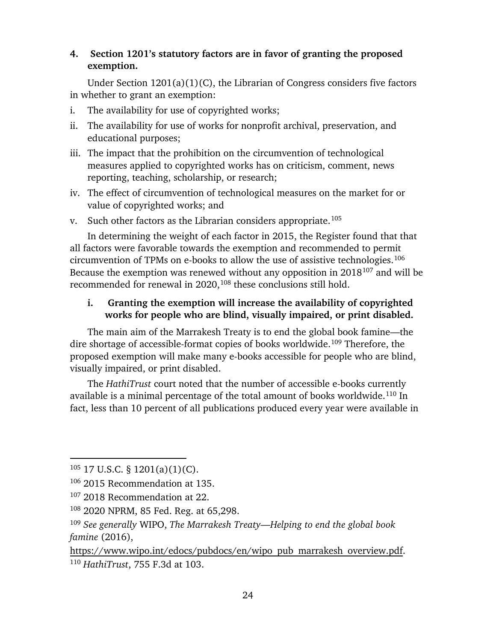# **4. Section 1201's statutory factors are in favor of granting the proposed exemption.**

Under Section 1201(a)(1)(C), the Librarian of Congress considers five factors in whether to grant an exemption:

- i. The availability for use of copyrighted works;
- ii. The availability for use of works for nonprofit archival, preservation, and educational purposes;
- iii. The impact that the prohibition on the circumvention of technological measures applied to copyrighted works has on criticism, comment, news reporting, teaching, scholarship, or research;
- iv. The effect of circumvention of technological measures on the market for or value of copyrighted works; and
- v. Such other factors as the Librarian considers appropriate.<sup>105</sup>

In determining the weight of each factor in 2015, the Register found that that all factors were favorable towards the exemption and recommended to permit circumvention of TPMs on e-books to allow the use of assistive technologies. 106 Because the exemption was renewed without any opposition in 2018107 and will be recommended for renewal in 2020,<sup>108</sup> these conclusions still hold.

# **i. Granting the exemption will increase the availability of copyrighted works for people who are blind, visually impaired, or print disabled.**

The main aim of the Marrakesh Treaty is to end the global book famine—the dire shortage of accessible-format copies of books worldwide.<sup>109</sup> Therefore, the proposed exemption will make many e-books accessible for people who are blind, visually impaired, or print disabled.

The *HathiTrust* court noted that the number of accessible e-books currently available is a minimal percentage of the total amount of books worldwide.<sup>110</sup> In fact, less than 10 percent of all publications produced every year were available in

 $105$  17 U.S.C. § 1201(a)(1)(C).

<sup>106</sup> 2015 Recommendation at 135.

<sup>107</sup> 2018 Recommendation at 22.

<sup>108</sup> 2020 NPRM, 85 Fed. Reg. at 65,298.

<sup>109</sup> *See generally* WIPO, *The Marrakesh Treaty—Helping to end the global book famine* (2016),

https://www.wipo.int/edocs/pubdocs/en/wipo\_pub\_marrakesh\_overview.pdf. <sup>110</sup> *HathiTrust*, 755 F.3d at 103.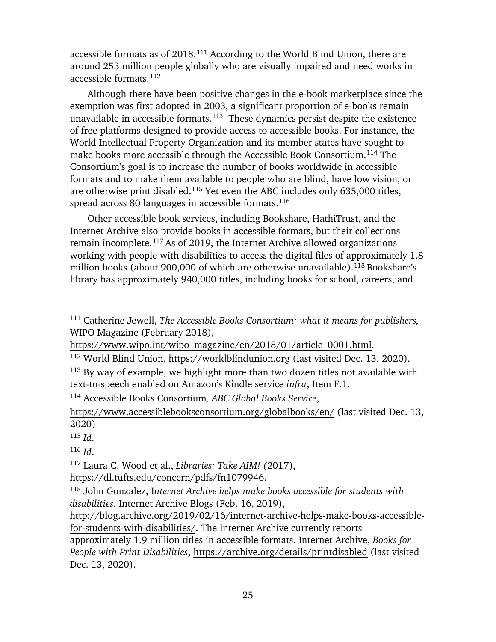accessible formats as of 2018. <sup>111</sup> According to the World Blind Union, there are around 253 million people globally who are visually impaired and need works in accessible formats.112

Although there have been positive changes in the e-book marketplace since the exemption was first adopted in 2003, a significant proportion of e-books remain unavailable in accessible formats.<sup>113</sup> These dynamics persist despite the existence of free platforms designed to provide access to accessible books. For instance, the World Intellectual Property Organization and its member states have sought to make books more accessible through the Accessible Book Consortium.<sup>114</sup> The Consortium's goal is to increase the number of books worldwide in accessible formats and to make them available to people who are blind, have low vision, or are otherwise print disabled. <sup>115</sup> Yet even the ABC includes only 635,000 titles, spread across 80 languages in accessible formats. $^{\rm 116}$ 

Other accessible book services, including Bookshare, HathiTrust, and the Internet Archive also provide books in accessible formats, but their collections remain incomplete.<sup>117</sup> As of 2019, the Internet Archive allowed organizations working with people with disabilities to access the digital files of approximately 1.8 million books (about 900,000 of which are otherwise unavailable). <sup>118</sup> Bookshare's library has approximately 940,000 titles, including books for school, careers, and

 $\overline{a}$ 

<sup>116</sup> *Id*.

<sup>117</sup> Laura C. Wood et al., *Libraries: Take AIM! (*2017), https://dl.tufts.edu/concern/pdfs/fn1079946.

approximately 1.9 million titles in accessible formats. Internet Archive, *Books for People with Print Disabilities*, https://archive.org/details/printdisabled (last visited Dec. 13, 2020).

<sup>111</sup> Catherine Jewell, *The Accessible Books Consortium: what it means for publishers,* WIPO Magazine (February 2018),

https://www.wipo.int/wipo\_magazine/en/2018/01/article\_0001.html.

<sup>112</sup> World Blind Union, https://worldblindunion.org (last visited Dec. 13, 2020).

<sup>&</sup>lt;sup>113</sup> By way of example, we highlight more than two dozen titles not available with text-to-speech enabled on Amazon's Kindle service *infra*, Item F.1.

<sup>114</sup> Accessible Books Consortium*, ABC Global Books Service*,

https://www.accessiblebooksconsortium.org/globalbooks/en/ (last visited Dec. 13, 2020)

<sup>115</sup> *Id*.

<sup>118</sup> John Gonzalez, I*nternet Archive helps make books accessible for students with disabilities*, Internet Archive Blogs (Feb. 16, 2019),

http://blog.archive.org/2019/02/16/internet-archive-helps-make-books-accessiblefor-students-with-disabilities/. The Internet Archive currently reports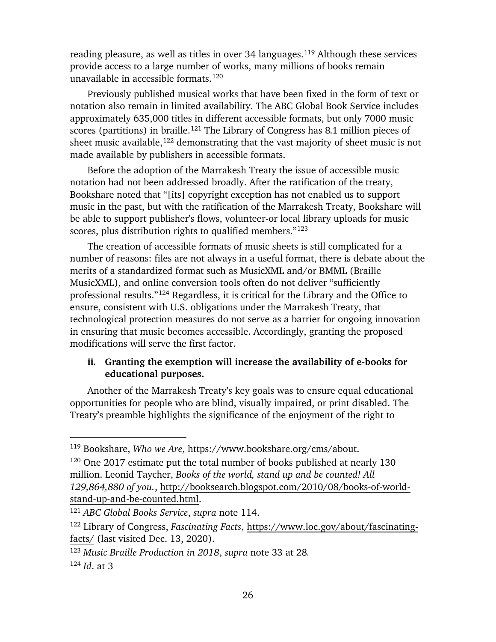reading pleasure, as well as titles in over 34 languages.<sup>119</sup> Although these services provide access to a large number of works, many millions of books remain unavailable in accessible formats. 120

Previously published musical works that have been fixed in the form of text or notation also remain in limited availability. The ABC Global Book Service includes approximately 635,000 titles in different accessible formats, but only 7000 music scores (partitions) in braille. <sup>121</sup> The Library of Congress has 8.1 million pieces of sheet music available, $122$  demonstrating that the vast majority of sheet music is not made available by publishers in accessible formats.

Before the adoption of the Marrakesh Treaty the issue of accessible music notation had not been addressed broadly. After the ratification of the treaty, Bookshare noted that "[its] copyright exception has not enabled us to support music in the past, but with the ratification of the Marrakesh Treaty, Bookshare will be able to support publisher's flows, volunteer-or local library uploads for music scores, plus distribution rights to qualified members."<sup>123</sup>

The creation of accessible formats of music sheets is still complicated for a number of reasons: files are not always in a useful format, there is debate about the merits of a standardized format such as MusicXML and/or BMML (Braille MusicXML), and online conversion tools often do not deliver "sufficiently professional results."124 Regardless, it is critical for the Library and the Office to ensure, consistent with U.S. obligations under the Marrakesh Treaty, that technological protection measures do not serve as a barrier for ongoing innovation in ensuring that music becomes accessible. Accordingly, granting the proposed modifications will serve the first factor.

#### **ii. Granting the exemption will increase the availability of e-books for educational purposes.**

Another of the Marrakesh Treaty's key goals was to ensure equal educational opportunities for people who are blind, visually impaired, or print disabled. The Treaty's preamble highlights the significance of the enjoyment of the right to

<sup>119</sup> Bookshare, *Who we Are*, https://www.bookshare.org/cms/about.

<sup>120</sup> One 2017 estimate put the total number of books published at nearly 130 million. Leonid Taycher, *Books of the world, stand up and be counted! All 129,864,880 of you.*, http://booksearch.blogspot.com/2010/08/books-of-worldstand-up-and-be-counted.html.

<sup>121</sup> *ABC Global Books Service*, *supra* note 114.

<sup>122</sup> Library of Congress, *Fascinating Facts*, https://www.loc.gov/about/fascinatingfacts/ (last visited Dec. 13, 2020).

<sup>123</sup> *Music Braille Production in 2018*, *supra* note 33 at 28*.*

<sup>124</sup> *Id*. at 3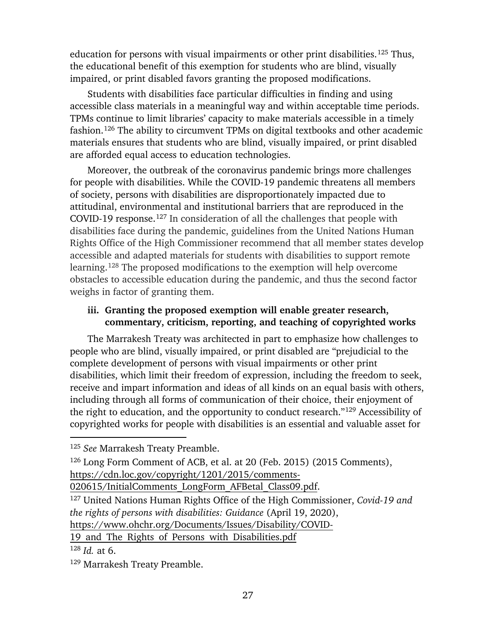education for persons with visual impairments or other print disabilities.<sup>125</sup> Thus, the educational benefit of this exemption for students who are blind, visually impaired, or print disabled favors granting the proposed modifications.

Students with disabilities face particular difficulties in finding and using accessible class materials in a meaningful way and within acceptable time periods. TPMs continue to limit libraries' capacity to make materials accessible in a timely fashion. <sup>126</sup> The ability to circumvent TPMs on digital textbooks and other academic materials ensures that students who are blind, visually impaired, or print disabled are afforded equal access to education technologies.

Moreover, the outbreak of the coronavirus pandemic brings more challenges for people with disabilities. While the COVID-19 pandemic threatens all members of society, persons with disabilities are disproportionately impacted due to attitudinal, environmental and institutional barriers that are reproduced in the COVID-19 response.<sup>127</sup> In consideration of all the challenges that people with disabilities face during the pandemic, guidelines from the United Nations Human Rights Office of the High Commissioner recommend that all member states develop accessible and adapted materials for students with disabilities to support remote learning.128 The proposed modifications to the exemption will help overcome obstacles to accessible education during the pandemic, and thus the second factor weighs in factor of granting them.

#### **iii. Granting the proposed exemption will enable greater research, commentary, criticism, reporting, and teaching of copyrighted works**

The Marrakesh Treaty was architected in part to emphasize how challenges to people who are blind, visually impaired, or print disabled are "prejudicial to the complete development of persons with visual impairments or other print disabilities, which limit their freedom of expression, including the freedom to seek, receive and impart information and ideas of all kinds on an equal basis with others, including through all forms of communication of their choice, their enjoyment of the right to education, and the opportunity to conduct research."129 Accessibility of copyrighted works for people with disabilities is an essential and valuable asset for

020615/InitialComments\_LongForm\_AFBetal\_Class09.pdf.

19 and The Rights of Persons with Disabilities.pdf

<sup>125</sup> *See* Marrakesh Treaty Preamble.

<sup>126</sup> Long Form Comment of ACB, et al. at 20 (Feb. 2015) (2015 Comments), https://cdn.loc.gov/copyright/1201/2015/comments-

<sup>127</sup> United Nations Human Rights Office of the High Commissioner, *Covid-19 and the rights of persons with disabilities: Guidance* (April 19, 2020), https://www.ohchr.org/Documents/Issues/Disability/COVID-

<sup>128</sup> *Id.* at 6.

<sup>129</sup> Marrakesh Treaty Preamble.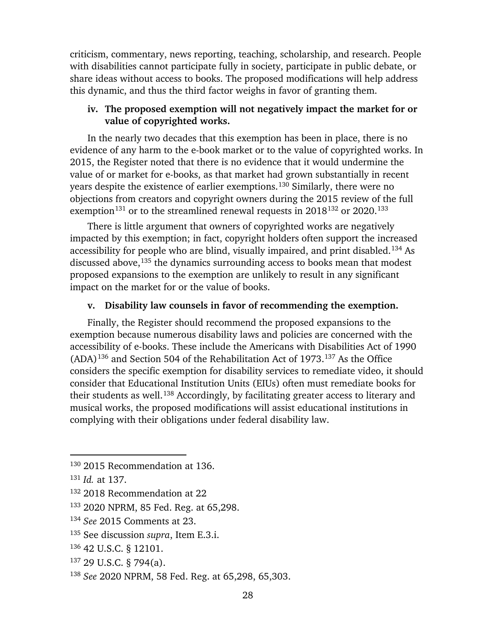criticism, commentary, news reporting, teaching, scholarship, and research. People with disabilities cannot participate fully in society, participate in public debate, or share ideas without access to books. The proposed modifications will help address this dynamic, and thus the third factor weighs in favor of granting them.

#### **iv. The proposed exemption will not negatively impact the market for or value of copyrighted works.**

In the nearly two decades that this exemption has been in place, there is no evidence of any harm to the e-book market or to the value of copyrighted works. In 2015, the Register noted that there is no evidence that it would undermine the value of or market for e-books, as that market had grown substantially in recent years despite the existence of earlier exemptions. <sup>130</sup> Similarly, there were no objections from creators and copyright owners during the 2015 review of the full exemption<sup>131</sup> or to the streamlined renewal requests in  $2018^{132}$  or  $2020$ .<sup>133</sup>

There is little argument that owners of copyrighted works are negatively impacted by this exemption; in fact, copyright holders often support the increased accessibility for people who are blind, visually impaired, and print disabled. <sup>134</sup> As discussed above,<sup>135</sup> the dynamics surrounding access to books mean that modest proposed expansions to the exemption are unlikely to result in any significant impact on the market for or the value of books.

#### **v. Disability law counsels in favor of recommending the exemption.**

Finally, the Register should recommend the proposed expansions to the exemption because numerous disability laws and policies are concerned with the accessibility of e-books. These include the Americans with Disabilities Act of 1990  $(ADA)^{136}$  and Section 504 of the Rehabilitation Act of 1973.<sup>137</sup> As the Office considers the specific exemption for disability services to remediate video, it should consider that Educational Institution Units (EIUs) often must remediate books for their students as well.<sup>138</sup> Accordingly, by facilitating greater access to literary and musical works, the proposed modifications will assist educational institutions in complying with their obligations under federal disability law.

- <sup>136</sup> 42 U.S.C. § 12101.
- <sup>137</sup> 29 U.S.C. § 794(a).

<sup>130</sup> 2015 Recommendation at 136.

<sup>131</sup> *Id.* at 137.

<sup>132</sup> 2018 Recommendation at 22

<sup>133</sup> 2020 NPRM, 85 Fed. Reg. at 65,298.

<sup>134</sup> *See* 2015 Comments at 23.

<sup>135</sup> See discussion *supra*, Item E.3.i.

<sup>138</sup> *See* 2020 NPRM, 58 Fed. Reg. at 65,298, 65,303.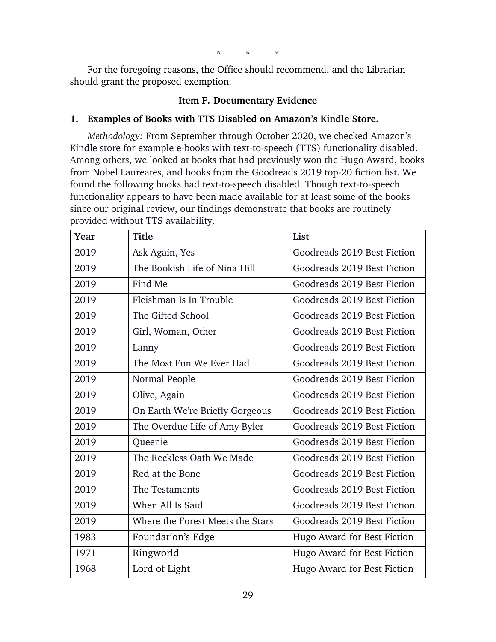\* \* \*

For the foregoing reasons, the Office should recommend, and the Librarian should grant the proposed exemption.

## **Item F. Documentary Evidence**

## **1. Examples of Books with TTS Disabled on Amazon's Kindle Store.**

*Methodology:* From September through October 2020, we checked Amazon's Kindle store for example e-books with text-to-speech (TTS) functionality disabled. Among others, we looked at books that had previously won the Hugo Award, books from Nobel Laureates, and books from the Goodreads 2019 top-20 fiction list. We found the following books had text-to-speech disabled. Though text-to-speech functionality appears to have been made available for at least some of the books since our original review, our findings demonstrate that books are routinely provided without TTS availability.

| Year | <b>Title</b>                     | List                        |
|------|----------------------------------|-----------------------------|
| 2019 | Ask Again, Yes                   | Goodreads 2019 Best Fiction |
| 2019 | The Bookish Life of Nina Hill    | Goodreads 2019 Best Fiction |
| 2019 | Find Me                          | Goodreads 2019 Best Fiction |
| 2019 | Fleishman Is In Trouble          | Goodreads 2019 Best Fiction |
| 2019 | The Gifted School                | Goodreads 2019 Best Fiction |
| 2019 | Girl, Woman, Other               | Goodreads 2019 Best Fiction |
| 2019 | Lanny                            | Goodreads 2019 Best Fiction |
| 2019 | The Most Fun We Ever Had         | Goodreads 2019 Best Fiction |
| 2019 | Normal People                    | Goodreads 2019 Best Fiction |
| 2019 | Olive, Again                     | Goodreads 2019 Best Fiction |
| 2019 | On Earth We're Briefly Gorgeous  | Goodreads 2019 Best Fiction |
| 2019 | The Overdue Life of Amy Byler    | Goodreads 2019 Best Fiction |
| 2019 | Queenie                          | Goodreads 2019 Best Fiction |
| 2019 | The Reckless Oath We Made        | Goodreads 2019 Best Fiction |
| 2019 | Red at the Bone                  | Goodreads 2019 Best Fiction |
| 2019 | The Testaments                   | Goodreads 2019 Best Fiction |
| 2019 | When All Is Said                 | Goodreads 2019 Best Fiction |
| 2019 | Where the Forest Meets the Stars | Goodreads 2019 Best Fiction |
| 1983 | Foundation's Edge                | Hugo Award for Best Fiction |
| 1971 | Ringworld                        | Hugo Award for Best Fiction |
| 1968 | Lord of Light                    | Hugo Award for Best Fiction |